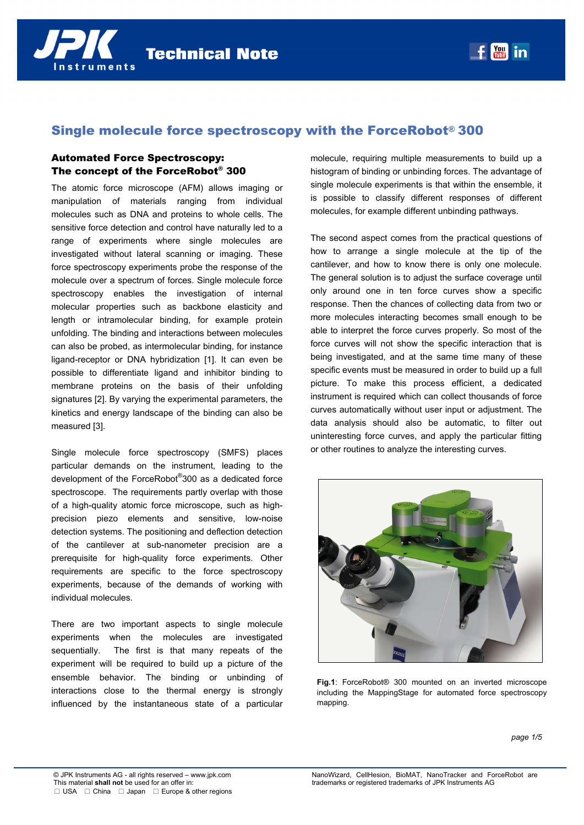

# Single molecule force spectroscopy with the ForceRobot® 300

# Automated Force Spectroscopy: The concept of the ForceRobot® 300

The atomic force microscope (AFM) allows imaging or manipulation of materials ranging from individual molecules such as DNA and proteins to whole cells. The sensitive force detection and control have naturally led to a range of experiments where single molecules are investigated without lateral scanning or imaging. These force spectroscopy experiments probe the response of the molecule over a spectrum of forces. Single molecule force spectroscopy enables the investigation of internal molecular properties such as backbone elasticity and length or intramolecular binding, for example protein unfolding. The binding and interactions between molecules can also be probed, as intermolecular binding, for instance ligand-receptor or DNA hybridization [1]. It can even be possible to differentiate ligand and inhibitor binding to membrane proteins on the basis of their unfolding signatures [2]. By varying the experimental parameters, the kinetics and energy landscape of the binding can also be measured [3].

Single molecule force spectroscopy (SMFS) places particular demands on the instrument, leading to the development of the ForceRobot® 300 as a dedicated force spectroscope. The requirements partly overlap with those of a high-quality atomic force microscope, such as highprecision piezo elements and sensitive, low-noise detection systems. The positioning and deflection detection of the cantilever at sub-nanometer precision are a prerequisite for high-quality force experiments. Other requirements are specific to the force spectroscopy experiments, because of the demands of working with individual molecules.

There are two important aspects to single molecule experiments when the molecules are investigated sequentially. The first is that many repeats of the experiment will be required to build up a picture of the ensemble behavior. The binding or unbinding of interactions close to the thermal energy is strongly influenced by the instantaneous state of a particular

molecule, requiring multiple measurements to build up a histogram of binding or unbinding forces. The advantage of single molecule experiments is that within the ensemble, it is possible to classify different responses of different molecules, for example different unbinding pathways.

The second aspect comes from the practical questions of how to arrange a single molecule at the tip of the cantilever, and how to know there is only one molecule. The general solution is to adjust the surface coverage until only around one in ten force curves show a specific response. Then the chances of collecting data from two or more molecules interacting becomes small enough to be able to interpret the force curves properly. So most of the force curves will not show the specific interaction that is being investigated, and at the same time many of these specific events must be measured in order to build up a full picture. To make this process efficient, a dedicated instrument is required which can collect thousands of force curves automatically without user input or adjustment. The data analysis should also be automatic, to filter out uninteresting force curves, and apply the particular fitting or other routines to analyze the interesting curves.



**Fig.1**: ForceRobot® 300 mounted on an inverted microscope including the MappingStage for automated force spectroscopy mapping.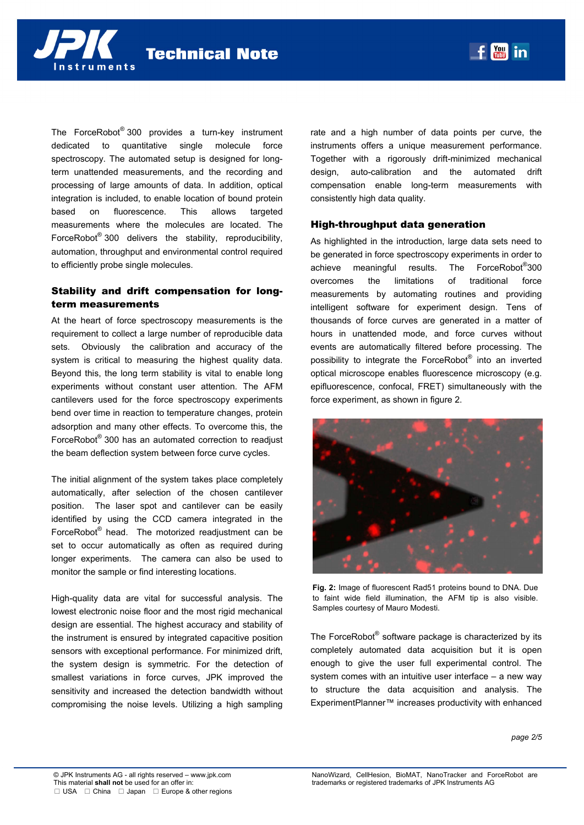

The ForceRobot® 300 provides a turn-key instrument dedicated to quantitative single molecule force spectroscopy. The automated setup is designed for longterm unattended measurements, and the recording and processing of large amounts of data. In addition, optical integration is included, to enable location of bound protein based on fluorescence. This allows targeted measurements where the molecules are located. The ForceRobot<sup>®</sup> 300 delivers the stability, reproducibility, automation, throughput and environmental control required to efficiently probe single molecules.

## Stability and drift compensation for longterm measurements

At the heart of force spectroscopy measurements is the requirement to collect a large number of reproducible data sets. Obviously the calibration and accuracy of the system is critical to measuring the highest quality data. Beyond this, the long term stability is vital to enable long experiments without constant user attention. The AFM cantilevers used for the force spectroscopy experiments bend over time in reaction to temperature changes, protein adsorption and many other effects. To overcome this, the ForceRobot® 300 has an automated correction to readjust the beam deflection system between force curve cycles.

The initial alignment of the system takes place completely automatically, after selection of the chosen cantilever position. The laser spot and cantilever can be easily identified by using the CCD camera integrated in the ForceRobot® head. The motorized readjustment can be set to occur automatically as often as required during longer experiments. The camera can also be used to monitor the sample or find interesting locations.

High-quality data are vital for successful analysis. The lowest electronic noise floor and the most rigid mechanical design are essential. The highest accuracy and stability of the instrument is ensured by integrated capacitive position sensors with exceptional performance. For minimized drift, the system design is symmetric. For the detection of smallest variations in force curves, JPK improved the sensitivity and increased the detection bandwidth without compromising the noise levels. Utilizing a high sampling

rate and a high number of data points per curve, the instruments offers a unique measurement performance. Together with a rigorously drift-minimized mechanical design, auto-calibration and the automated drift compensation enable long-term measurements with consistently high data quality.

## High-throughput data generation

As highlighted in the introduction, large data sets need to be generated in force spectroscopy experiments in order to achieve meaningful results. The ForceRobot<sup>®</sup>300 overcomes the limitations of traditional force measurements by automating routines and providing intelligent software for experiment design. Tens of thousands of force curves are generated in a matter of hours in unattended mode, and force curves without events are automatically filtered before processing. The possibility to integrate the ForceRobot® into an inverted optical microscope enables fluorescence microscopy (e.g. epifluorescence, confocal, FRET) simultaneously with the force experiment, as shown in figure 2.



**Fig. 2:** Image of fluorescent Rad51 proteins bound to DNA. Due to faint wide field illumination, the AFM tip is also visible. Samples courtesy of Mauro Modesti.

The ForceRobot® software package is characterized by its completely automated data acquisition but it is open enough to give the user full experimental control. The system comes with an intuitive user interface – a new way to structure the data acquisition and analysis. The ExperimentPlanner™ increases productivity with enhanced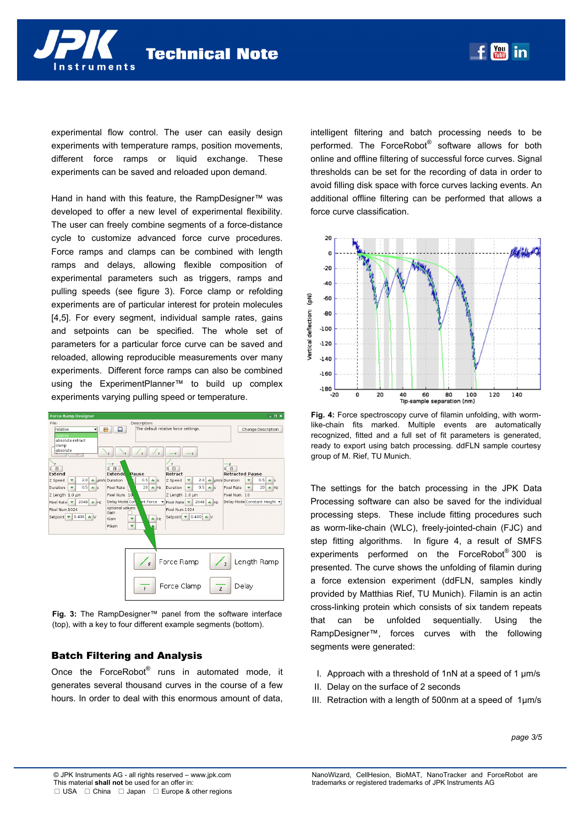

experimental flow control. The user can easily design experiments with temperature ramps, position movements, different force ramps or liquid exchange. These experiments can be saved and reloaded upon demand.

Hand in hand with this feature, the RampDesigner™ was developed to offer a new level of experimental flexibility. The user can freely combine segments of a force-distance cycle to customize advanced force curve procedures. Force ramps and clamps can be combined with length ramps and delays, allowing flexible composition of experimental parameters such as triggers, ramps and pulling speeds (see figure 3). Force clamp or refolding experiments are of particular interest for protein molecules [4,5]. For every segment, individual sample rates, gains and setpoints can be specified. The whole set of parameters for a particular force curve can be saved and reloaded, allowing reproducible measurements over many experiments. Different force ramps can also be combined using the ExperimentPlanner™ to build up complex experiments varying pulling speed or temperature.

| <b>Force Ramp Designer</b>                                                                                                                                                                                                              |                                                                                                                                                                                                                             |                                                                                                                                                                                                                    | $\square$ $\square$ $\times$                                                                                                                                                              |
|-----------------------------------------------------------------------------------------------------------------------------------------------------------------------------------------------------------------------------------------|-----------------------------------------------------------------------------------------------------------------------------------------------------------------------------------------------------------------------------|--------------------------------------------------------------------------------------------------------------------------------------------------------------------------------------------------------------------|-------------------------------------------------------------------------------------------------------------------------------------------------------------------------------------------|
| File:                                                                                                                                                                                                                                   | Description:                                                                                                                                                                                                                |                                                                                                                                                                                                                    |                                                                                                                                                                                           |
| relative<br>s<br>relative<br>absolute-retract<br>clamp<br>absolute                                                                                                                                                                      | 口<br>$\overline{z}$<br>c<br>$\overline{z}$                                                                                                                                                                                  | The default relative force settings.<br>$\overline{z}$                                                                                                                                                             | <b>Change Description</b>                                                                                                                                                                 |
| ١F<br>1 <sup>1</sup><br>Extend<br>2.0<br>Z Speed<br>v<br>$\blacktriangle$<br>0.5<br>Duration<br>$\triangle$ s<br>▼<br>Z Length 1.0 µm<br>$2048$ $\triangle$ Hz<br>Pixel Rate<br>Pixel Num.1024<br>$ 0.400 $ $\triangle$ V<br>Setpoint ▼ | F<br>2E<br>Pause<br>Extende<br>0.5<br>um/s Duration<br>$\Delta$ S<br>20<br>Pixel Rate<br>$\triangle$ Hz<br>Pixel Num. 10<br>nt Force<br>Delay Mode Con<br>optional values:<br>Gain<br><b>IGain</b><br>Hz<br>v<br>v<br>PGain | F<br>3 <sup>2</sup><br>Retract<br>2.0<br>Z Speed<br>v<br>0.5<br><b>Duration</b><br>v<br>$\triangle$ S<br>Z Length 1.0 um<br>2048<br>Pixel Rate<br>$\triangle$ Hz<br>Pixel Num.1024<br>$0.400 \Delta$ V<br>Setpoint | z<br>$4$ $\Box$<br><b>Retracted Pause</b><br>0.5<br>▲ µm/s Duration<br>$\Delta$ s<br>▼<br>20<br><b>Pixel Rate</b><br>$\triangle$ Hz<br>≂<br>Pixel Num. 10<br>Delay Mode Constant Height - |
| Force Ramp<br>Length Ramp<br>F<br>$\overline{z}$                                                                                                                                                                                        |                                                                                                                                                                                                                             |                                                                                                                                                                                                                    |                                                                                                                                                                                           |
| Force Clamp<br>Delay<br>$\overline{z}$<br>F                                                                                                                                                                                             |                                                                                                                                                                                                                             |                                                                                                                                                                                                                    |                                                                                                                                                                                           |

**Fig. 3:** The RampDesigner™ panel from the software interface (top), with a key to four different example segments (bottom).

#### Batch Filtering and Analysis

Once the ForceRobot® runs in automated mode, it generates several thousand curves in the course of a few hours. In order to deal with this enormous amount of data, intelligent filtering and batch processing needs to be performed. The ForceRobot® software allows for both online and offline filtering of successful force curves. Signal thresholds can be set for the recording of data in order to avoid filling disk space with force curves lacking events. An additional offline filtering can be performed that allows a force curve classification.



**Fig. 4:** Force spectroscopy curve of filamin unfolding, with wormlike-chain fits marked. Multiple events are automatically recognized, fitted and a full set of fit parameters is generated, ready to export using batch processing. ddFLN sample courtesy group of M. Rief, TU Munich.

The settings for the batch processing in the JPK Data Processing software can also be saved for the individual processing steps. These include fitting procedures such as worm-like-chain (WLC), freely-jointed-chain (FJC) and step fitting algorithms. In figure 4, a result of SMFS experiments performed on the ForceRobot® 300 is presented. The curve shows the unfolding of filamin during a force extension experiment (ddFLN, samples kindly provided by Matthias Rief, TU Munich). Filamin is an actin cross-linking protein which consists of six tandem repeats that can be unfolded sequentially. Using the RampDesigner™, forces curves with the following segments were generated:

- I. Approach with a threshold of 1nN at a speed of 1 µm/s
- II. Delay on the surface of 2 seconds
- III. Retraction with a length of 500nm at a speed of 1µm/s

*page 3/5*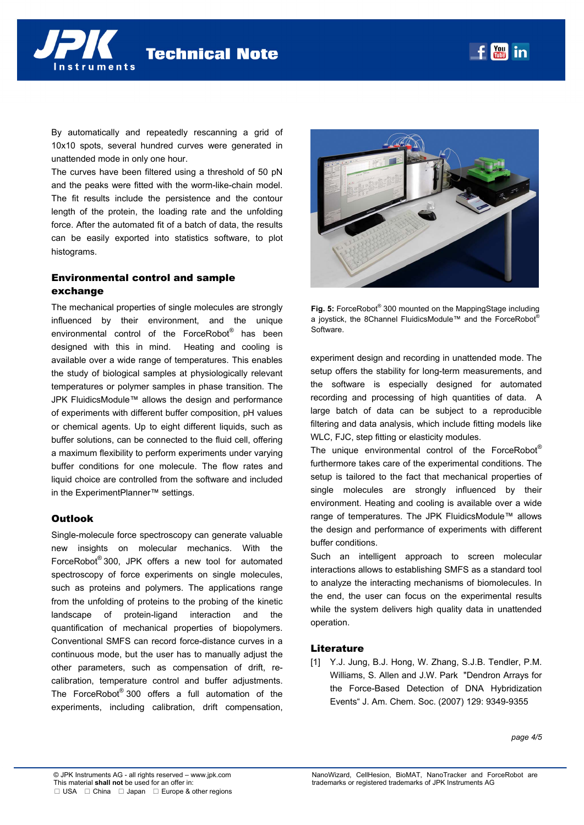By automatically and repeatedly rescanning a grid of 10x10 spots, several hundred curves were generated in unattended mode in only one hour.

nstruments

The curves have been filtered using a threshold of 50 pN and the peaks were fitted with the worm-like-chain model. The fit results include the persistence and the contour length of the protein, the loading rate and the unfolding force. After the automated fit of a batch of data, the results can be easily exported into statistics software, to plot histograms.

#### Environmental control and sample exchange

The mechanical properties of single molecules are strongly influenced by their environment, and the unique environmental control of the ForceRobot<sup>®</sup> has been designed with this in mind. Heating and cooling is available over a wide range of temperatures. This enables the study of biological samples at physiologically relevant temperatures or polymer samples in phase transition. The JPK FluidicsModule™ allows the design and performance of experiments with different buffer composition, pH values or chemical agents. Up to eight different liquids, such as buffer solutions, can be connected to the fluid cell, offering a maximum flexibility to perform experiments under varying buffer conditions for one molecule. The flow rates and liquid choice are controlled from the software and included in the ExperimentPlanner™ settings.

#### **Outlook**

Single-molecule force spectroscopy can generate valuable new insights on molecular mechanics. With the ForceRobot® 300, JPK offers a new tool for automated spectroscopy of force experiments on single molecules. such as proteins and polymers. The applications range from the unfolding of proteins to the probing of the kinetic landscape of protein-ligand interaction and the quantification of mechanical properties of biopolymers. Conventional SMFS can record force-distance curves in a continuous mode, but the user has to manually adjust the other parameters, such as compensation of drift, recalibration, temperature control and buffer adjustments. The ForceRobot® 300 offers a full automation of the experiments, including calibration, drift compensation,



**I** You in

**Fig. 5:** ForceRobot® 300 mounted on the MappingStage including a joystick, the 8Channel FluidicsModule™ and the ForceRobot® Software.

experiment design and recording in unattended mode. The setup offers the stability for long-term measurements, and the software is especially designed for automated recording and processing of high quantities of data. A large batch of data can be subject to a reproducible filtering and data analysis, which include fitting models like WLC, FJC, step fitting or elasticity modules.

The unique environmental control of the ForceRobot® furthermore takes care of the experimental conditions. The setup is tailored to the fact that mechanical properties of single molecules are strongly influenced by their environment. Heating and cooling is available over a wide range of temperatures. The JPK FluidicsModule™ allows the design and performance of experiments with different buffer conditions.

Such an intelligent approach to screen molecular interactions allows to establishing SMFS as a standard tool to analyze the interacting mechanisms of biomolecules. In the end, the user can focus on the experimental results while the system delivers high quality data in unattended operation.

#### **Literature**

[1] Y.J. Jung, B.J. Hong, W. Zhang, S.J.B. Tendler, P.M. Williams, S. Allen and J.W. Park "Dendron Arrays for the Force-Based Detection of DNA Hybridization Events" J. Am. Chem. Soc. (2007) 129: 9349-9355

*page 4/5*